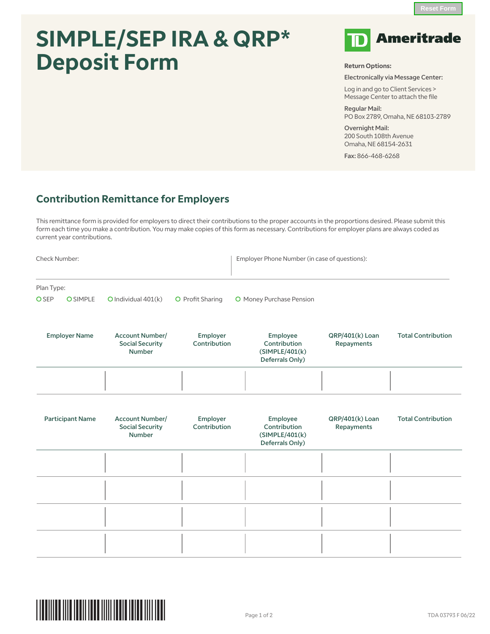## **SIMPLE/SEP IRA & QRP\* Deposit Form**



**Return Options:**

Electronically via Message Center:

Log in and go to Client Services > Message Center to attach the file

Regular Mail: PO Box 2789, Omaha, NE 68103-2789

Overnight Mail: 200 South 108th Avenue Omaha, NE 68154-2631

Fax: 866-468-6268

## **Contribution Remittance for Employers**

This remittance form is provided for employers to direct their contributions to the proper accounts in the proportions desired. Please submit this form each time you make a contribution. You may make copies of this form as necessary. Contributions for employer plans are always coded as current year contributions.

| Check Number:           |                 |                                                                   |                          | Employer Phone Number (in case of questions):                  |                               |                           |  |
|-------------------------|-----------------|-------------------------------------------------------------------|--------------------------|----------------------------------------------------------------|-------------------------------|---------------------------|--|
| Plan Type:              |                 |                                                                   |                          |                                                                |                               |                           |  |
| <b>O</b> SEP            | <b>O</b> SIMPLE | $O$ Individual $401(k)$                                           | O Profit Sharing         | O Money Purchase Pension                                       |                               |                           |  |
| <b>Employer Name</b>    |                 | <b>Account Number/</b><br><b>Social Security</b><br><b>Number</b> | Employer<br>Contribution | Employee<br>Contribution<br>(SIMPLE/401(k))<br>Deferrals Only) | QRP/401(k) Loan<br>Repayments | <b>Total Contribution</b> |  |
|                         |                 |                                                                   |                          |                                                                |                               |                           |  |
| <b>Participant Name</b> |                 | <b>Account Number/</b><br><b>Social Security</b><br>Number        | Employer<br>Contribution | Employee<br>Contribution<br>(SIMPLE/401(k))<br>Deferrals Only) | QRP/401(k) Loan<br>Repayments | <b>Total Contribution</b> |  |
|                         |                 |                                                                   |                          |                                                                |                               |                           |  |
|                         |                 |                                                                   |                          |                                                                |                               |                           |  |
|                         |                 |                                                                   |                          |                                                                |                               |                           |  |
|                         |                 |                                                                   |                          |                                                                |                               |                           |  |